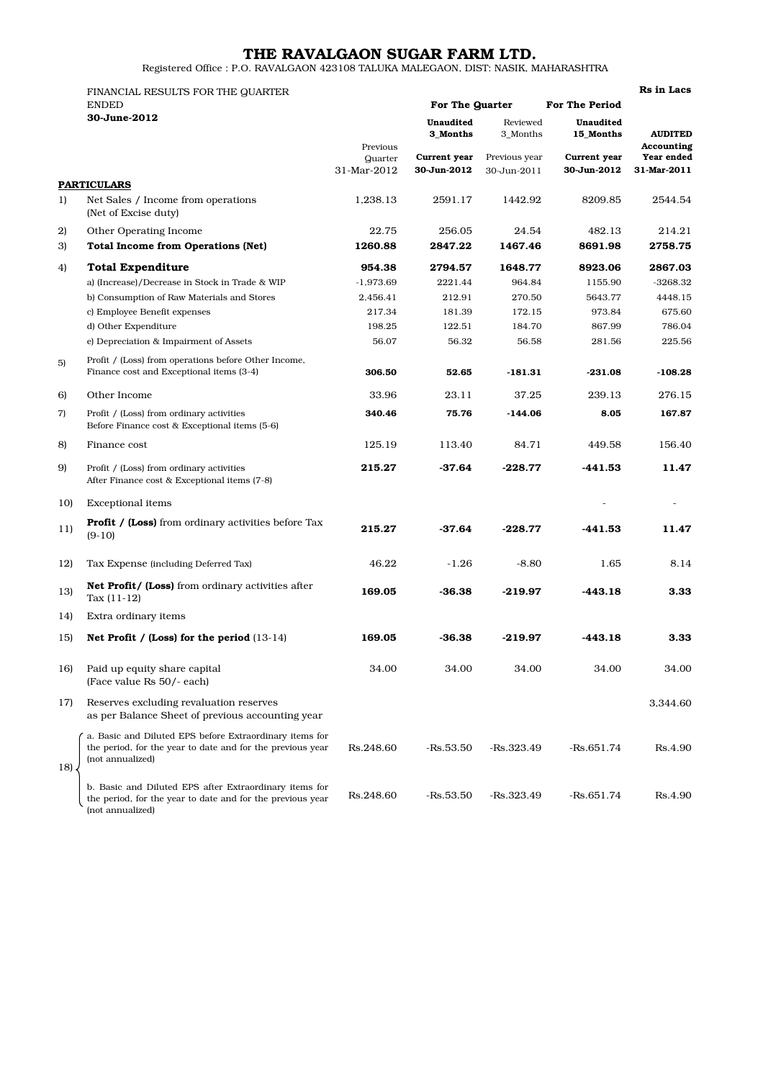## THE RAVALGAON SUGAR FARM LTD.

Registered Office : P.O. RAVALGAON 423108 TALUKA MALEGAON, DIST: NASIK, MAHARASHTRA

|         | FINANCIAL RESULTS FOR THE QUARTER                                                                                                         |                                    |                             |                                                      |                                                       |                                                           |  |
|---------|-------------------------------------------------------------------------------------------------------------------------------------------|------------------------------------|-----------------------------|------------------------------------------------------|-------------------------------------------------------|-----------------------------------------------------------|--|
|         | <b>ENDED</b><br>30-June-2012                                                                                                              |                                    | For The Quarter             |                                                      | <b>For The Period</b>                                 |                                                           |  |
|         |                                                                                                                                           | Previous<br>Quarter<br>31-Mar-2012 | Unaudited<br>3 Months       | Reviewed<br>3_Months<br>Previous year<br>30-Jun-2011 | Unaudited<br>15 Months<br>Current year<br>30-Jun-2012 | <b>AUDITED</b><br>Accounting<br>Year ended<br>31-Mar-2011 |  |
|         |                                                                                                                                           |                                    | Current year<br>30-Jun-2012 |                                                      |                                                       |                                                           |  |
|         | <b>PARTICULARS</b>                                                                                                                        |                                    |                             |                                                      |                                                       |                                                           |  |
| 1)      | Net Sales / Income from operations<br>(Net of Excise duty)                                                                                | 1,238.13                           | 2591.17                     | 1442.92                                              | 8209.85                                               | 2544.54                                                   |  |
| 2)      | Other Operating Income                                                                                                                    | 22.75                              | 256.05                      | 24.54                                                | 482.13                                                | 214.21                                                    |  |
| 3)      | <b>Total Income from Operations (Net)</b>                                                                                                 | 1260.88                            | 2847.22                     | 1467.46                                              | 8691.98                                               | 2758.75                                                   |  |
| 4)      | <b>Total Expenditure</b>                                                                                                                  | 954.38                             | 2794.57                     | 1648.77                                              | 8923.06                                               | 2867.03                                                   |  |
|         | a) (Increase)/Decrease in Stock in Trade & WIP                                                                                            | $-1,973.69$                        | 2221.44                     | 964.84                                               | 1155.90                                               | $-3268.32$                                                |  |
|         | b) Consumption of Raw Materials and Stores                                                                                                | 2,456.41                           | 212.91                      | 270.50                                               | 5643.77                                               | 4448.15                                                   |  |
|         | c) Employee Benefit expenses                                                                                                              | 217.34                             | 181.39                      | 172.15                                               | 973.84                                                | 675.60                                                    |  |
|         | d) Other Expenditure                                                                                                                      | 198.25                             | 122.51                      | 184.70                                               | 867.99                                                | 786.04                                                    |  |
|         | e) Depreciation & Impairment of Assets                                                                                                    | 56.07                              | 56.32                       | 56.58                                                | 281.56                                                | 225.56                                                    |  |
|         |                                                                                                                                           |                                    |                             |                                                      |                                                       |                                                           |  |
| 5)      | Profit / (Loss) from operations before Other Income,<br>Finance cost and Exceptional items (3-4)                                          | 306.50                             | 52.65                       | $-181.31$                                            | $-231.08$                                             | $-108.28$                                                 |  |
| 6)      | Other Income                                                                                                                              | 33.96                              | 23.11                       | 37.25                                                | 239.13                                                | 276.15                                                    |  |
| 7)      | Profit / (Loss) from ordinary activities<br>Before Finance cost & Exceptional items (5-6)                                                 | 340.46                             | 75.76                       | $-144.06$                                            | 8.05                                                  | 167.87                                                    |  |
| 8)      | Finance cost                                                                                                                              | 125.19                             | 113.40                      | 84.71                                                | 449.58                                                | 156.40                                                    |  |
| 9)      | Profit / (Loss) from ordinary activities<br>After Finance cost & Exceptional items (7-8)                                                  | 215.27                             | $-37.64$                    | $-228.77$                                            | $-441.53$                                             | 11.47                                                     |  |
| 10)     | <b>Exceptional</b> items                                                                                                                  |                                    |                             |                                                      |                                                       |                                                           |  |
| 11)     | <b>Profit / (Loss)</b> from ordinary activities before Tax<br>$(9-10)$                                                                    | 215.27                             | $-37.64$                    | $-228.77$                                            | $-441.53$                                             | 11.47                                                     |  |
| 12)     | Tax Expense (including Deferred Tax)                                                                                                      | 46.22                              | $-1.26$                     | $-8.80$                                              | 1.65                                                  | 8.14                                                      |  |
| 13)     | <b>Net Profit/ (Loss)</b> from ordinary activities after<br>Tax $(11-12)$                                                                 | 169.05                             | $-36.38$                    | $-219.97$                                            | $-443.18$                                             | 3.33                                                      |  |
| 14)     | Extra ordinary items                                                                                                                      |                                    |                             |                                                      |                                                       |                                                           |  |
| 15)     | Net Profit / (Loss) for the period (13-14)                                                                                                | 169.05                             | -36.38                      | -219.97                                              | $-443.18$                                             | 3.33                                                      |  |
| 16)     | Paid up equity share capital<br>(Face value Rs 50/- each)                                                                                 | 34.00                              | 34.00                       | 34.00                                                | 34.00                                                 | 34.00                                                     |  |
| 17)     | Reserves excluding revaluation reserves<br>as per Balance Sheet of previous accounting year                                               |                                    |                             |                                                      |                                                       | 3,344.60                                                  |  |
| $18$ ). | a. Basic and Diluted EPS before Extraordinary items for<br>the period, for the year to date and for the previous year<br>(not annualized) | Rs.248.60                          | $-Rs.53.50$                 | $-Rs.323.49$                                         | $-Rs.651.74$                                          | Rs.4.90                                                   |  |
|         | b. Basic and Diluted EPS after Extraordinary items for<br>the period, for the year to date and for the previous year                      | Rs.248.60                          | -Rs.53.50                   | $-Rs.323.49$                                         | $-Rs.651.74$                                          | Rs.4.90                                                   |  |

(not annualized)